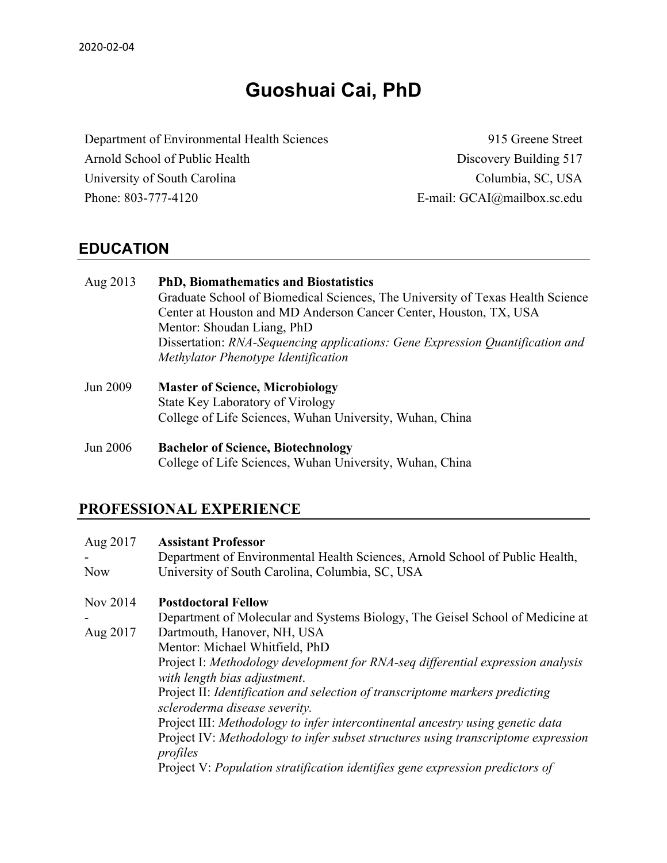# **Guoshuai Cai, PhD**

Department of Environmental Health Sciences 915 Greene Street Arnold School of Public Health Discovery Building 517 University of South Carolina Columbia, SC, USA Phone: 803-777-4120 E-mail: GCAI@mailbox.sc.edu

### **EDUCATION**

| Aug 2013        | <b>PhD, Biomathematics and Biostatistics</b><br>Graduate School of Biomedical Sciences, The University of Texas Health Science<br>Center at Houston and MD Anderson Cancer Center, Houston, TX, USA<br>Mentor: Shoudan Liang, PhD<br>Dissertation: RNA-Sequencing applications: Gene Expression Quantification and<br>Methylator Phenotype Identification |
|-----------------|-----------------------------------------------------------------------------------------------------------------------------------------------------------------------------------------------------------------------------------------------------------------------------------------------------------------------------------------------------------|
| Jun 2009        | <b>Master of Science, Microbiology</b><br>State Key Laboratory of Virology<br>College of Life Sciences, Wuhan University, Wuhan, China                                                                                                                                                                                                                    |
| <b>Jun 2006</b> | <b>Bachelor of Science, Biotechnology</b>                                                                                                                                                                                                                                                                                                                 |

College of Life Sciences, Wuhan University, Wuhan, China

### **PROFESSIONAL EXPERIENCE**

| Aug 2017   | <b>Assistant Professor</b>                                                                    |
|------------|-----------------------------------------------------------------------------------------------|
|            | Department of Environmental Health Sciences, Arnold School of Public Health,                  |
| <b>Now</b> | University of South Carolina, Columbia, SC, USA                                               |
| Nov 2014   | <b>Postdoctoral Fellow</b>                                                                    |
|            | Department of Molecular and Systems Biology, The Geisel School of Medicine at                 |
| Aug 2017   | Dartmouth, Hanover, NH, USA                                                                   |
|            | Mentor: Michael Whitfield, PhD                                                                |
|            | Project I: Methodology development for RNA-seq differential expression analysis               |
|            | with length bias adjustment.                                                                  |
|            | Project II: Identification and selection of transcriptome markers predicting                  |
|            | scleroderma disease severity.                                                                 |
|            | Project III: Methodology to infer intercontinental ancestry using genetic data                |
|            | Project IV: Methodology to infer subset structures using transcriptome expression<br>profiles |
|            | Project V: Population stratification identifies gene expression predictors of                 |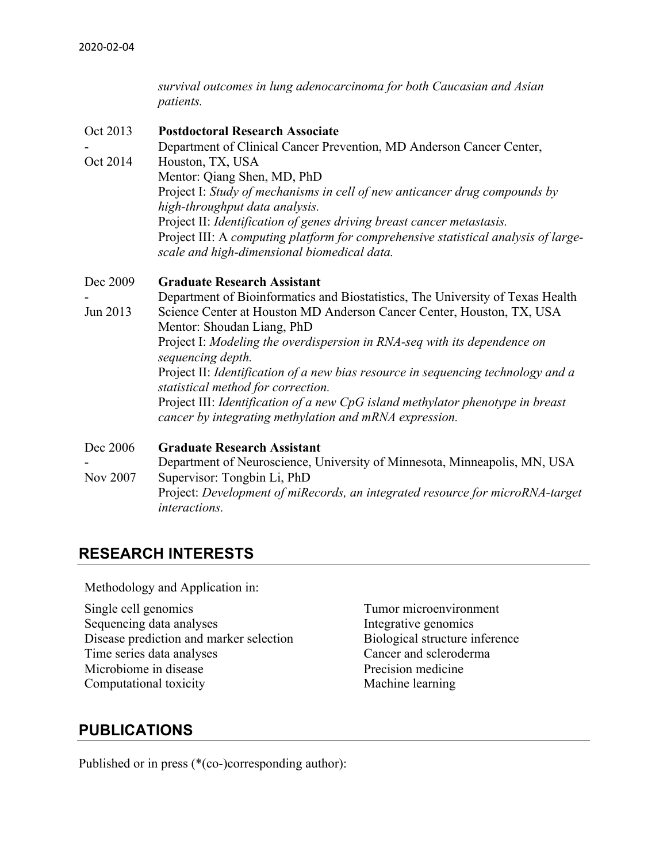*survival outcomes in lung adenocarcinoma for both Caucasian and Asian patients.*

- Oct 2013 **Postdoctoral Research Associate**
- Oct 2014 Department of Clinical Cancer Prevention, MD Anderson Cancer Center, Houston, TX, USA Mentor: Qiang Shen, MD, PhD Project I: *Study of mechanisms in cell of new anticancer drug compounds by high-throughput data analysis.* Project II: *Identification of genes driving breast cancer metastasis.* Project III: A *computing platform for comprehensive statistical analysis of largescale and high-dimensional biomedical data.*

#### Dec 2009 **Graduate Research Assistant**

- Jun 2013 Department of Bioinformatics and Biostatistics, The University of Texas Health Science Center at Houston MD Anderson Cancer Center, Houston, TX, USA Mentor: Shoudan Liang, PhD Project I: *Modeling the overdispersion in RNA-seq with its dependence on sequencing depth.* Project II: *Identification of a new bias resource in sequencing technology and a statistical method for correction.* Project III: *Identification of a new CpG island methylator phenotype in breast cancer by integrating methylation and mRNA expression.*

#### Dec 2006 **Graduate Research Assistant**

- Nov 2007 Department of Neuroscience, University of Minnesota, Minneapolis, MN, USA Supervisor: Tongbin Li, PhD Project: *Development of miRecords, an integrated resource for microRNA-target interactions.*

### **RESEARCH INTERESTS**

Methodology and Application in:

Single cell genomics Sequencing data analyses Disease prediction and marker selection Biological structure inference Time series data analyses Cancer and scleroderma Microbiome in disease **Precision medicine** Computational toxicity Machine learning

Tumor microenvironment Integrative genomics

### **PUBLICATIONS**

Published or in press (\*(co-)corresponding author):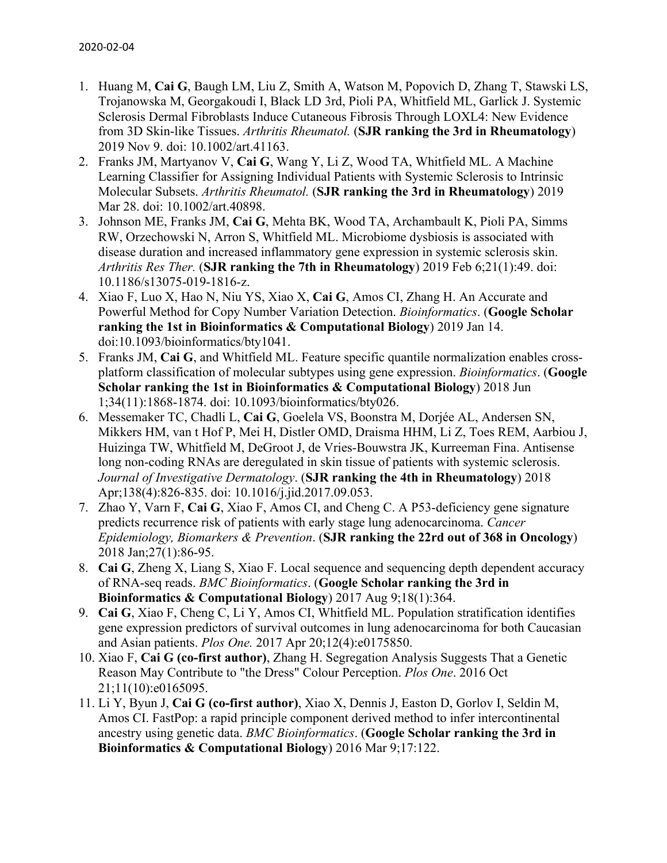- 1. Huang M, **Cai G**, Baugh LM, Liu Z, Smith A, Watson M, Popovich D, Zhang T, Stawski LS, Trojanowska M, Georgakoudi I, Black LD 3rd, Pioli PA, Whitfield ML, Garlick J. Systemic Sclerosis Dermal Fibroblasts Induce Cutaneous Fibrosis Through LOXL4: New Evidence from 3D Skin-like Tissues. *Arthritis Rheumatol.* (**SJR ranking the 3rd in Rheumatology**) 2019 Nov 9. doi: 10.1002/art.41163.
- 2. Franks JM, Martyanov V, **Cai G**, Wang Y, Li Z, Wood TA, Whitfield ML. A Machine Learning Classifier for Assigning Individual Patients with Systemic Sclerosis to Intrinsic Molecular Subsets. *Arthritis Rheumatol.* (**SJR ranking the 3rd in Rheumatology**) 2019 Mar 28. doi: 10.1002/art.40898.
- 3. Johnson ME, Franks JM, **Cai G**, Mehta BK, Wood TA, Archambault K, Pioli PA, Simms RW, Orzechowski N, Arron S, Whitfield ML. Microbiome dysbiosis is associated with disease duration and increased inflammatory gene expression in systemic sclerosis skin. *Arthritis Res Ther.* (**SJR ranking the 7th in Rheumatology**) 2019 Feb 6;21(1):49. doi: 10.1186/s13075-019-1816-z.
- 4. Xiao F, Luo X, Hao N, Niu YS, Xiao X, **Cai G**, Amos CI, Zhang H. An Accurate and Powerful Method for Copy Number Variation Detection. *Bioinformatics*. (**Google Scholar ranking the 1st in Bioinformatics & Computational Biology**) 2019 Jan 14. doi:10.1093/bioinformatics/bty1041.
- 5. Franks JM, **Cai G**, and Whitfield ML. Feature specific quantile normalization enables crossplatform classification of molecular subtypes using gene expression. *Bioinformatics*. (**Google Scholar ranking the 1st in Bioinformatics & Computational Biology**) 2018 Jun 1;34(11):1868-1874. doi: 10.1093/bioinformatics/bty026.
- 6. Messemaker TC, Chadli L, **Cai G**, Goelela VS, Boonstra M, Dorjée AL, Andersen SN, Mikkers HM, van t Hof P, Mei H, Distler OMD, Draisma HHM, Li Z, Toes REM, Aarbiou J, Huizinga TW, Whitfield M, DeGroot J, de Vries-Bouwstra JK, Kurreeman Fina. Antisense long non-coding RNAs are deregulated in skin tissue of patients with systemic sclerosis. *Journal of Investigative Dermatology*. (**SJR ranking the 4th in Rheumatology**) 2018 Apr;138(4):826-835. doi: 10.1016/j.jid.2017.09.053.
- 7. Zhao Y, Varn F, **Cai G**, Xiao F, Amos CI, and Cheng C. A P53-deficiency gene signature predicts recurrence risk of patients with early stage lung adenocarcinoma. *Cancer Epidemiology, Biomarkers & Prevention*. (**SJR ranking the 22rd out of 368 in Oncology**) 2018 Jan;27(1):86-95.
- 8. **Cai G**, Zheng X, Liang S, Xiao F. Local sequence and sequencing depth dependent accuracy of RNA-seq reads. *BMC Bioinformatics*. (**Google Scholar ranking the 3rd in Bioinformatics & Computational Biology**) 2017 Aug 9;18(1):364.
- 9. **Cai G**, Xiao F, Cheng C, Li Y, Amos CI, Whitfield ML. Population stratification identifies gene expression predictors of survival outcomes in lung adenocarcinoma for both Caucasian and Asian patients. *Plos One.* 2017 Apr 20;12(4):e0175850.
- 10. Xiao F, **Cai G (co-first author)**, Zhang H. Segregation Analysis Suggests That a Genetic Reason May Contribute to "the Dress" Colour Perception. *Plos One*. 2016 Oct 21;11(10):e0165095.
- 11. Li Y, Byun J, **Cai G (co-first author)**, Xiao X, Dennis J, Easton D, Gorlov I, Seldin M, Amos CI. FastPop: a rapid principle component derived method to infer intercontinental ancestry using genetic data. *BMC Bioinformatics*. (**Google Scholar ranking the 3rd in Bioinformatics & Computational Biology**) 2016 Mar 9;17:122.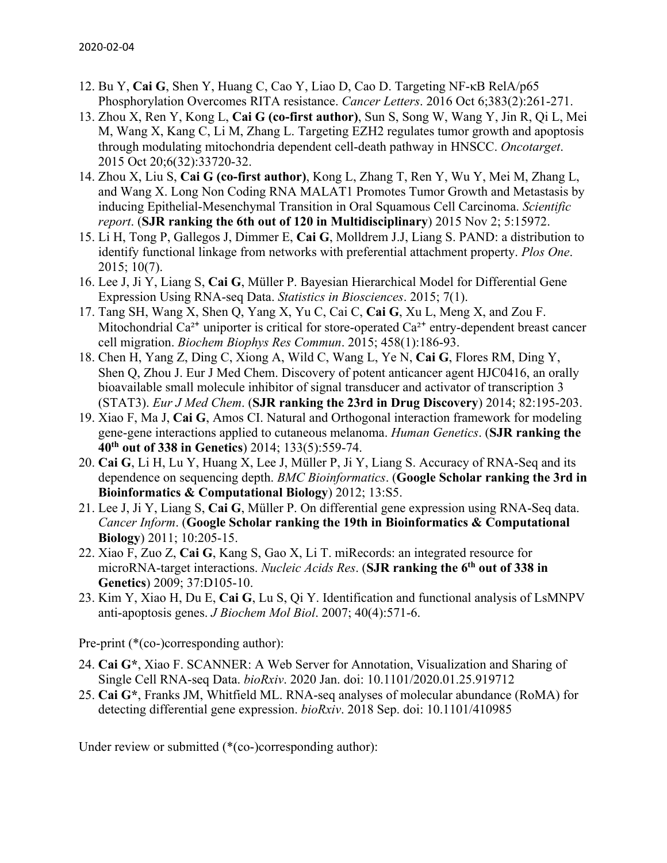- 12. Bu Y, **Cai G**, Shen Y, Huang C, Cao Y, Liao D, Cao D. Targeting NF-κB RelA/p65 Phosphorylation Overcomes RITA resistance. *Cancer Letters*. 2016 Oct 6;383(2):261-271.
- 13. Zhou X, Ren Y, Kong L, **Cai G (co-first author)**, Sun S, Song W, Wang Y, Jin R, Qi L, Mei M, Wang X, Kang C, Li M, Zhang L. Targeting EZH2 regulates tumor growth and apoptosis through modulating mitochondria dependent cell-death pathway in HNSCC. *Oncotarget*. 2015 Oct 20;6(32):33720-32.
- 14. Zhou X, Liu S, **Cai G (co-first author)**, Kong L, Zhang T, Ren Y, Wu Y, Mei M, Zhang L, and Wang X. Long Non Coding RNA MALAT1 Promotes Tumor Growth and Metastasis by inducing Epithelial-Mesenchymal Transition in Oral Squamous Cell Carcinoma. *Scientific report*. (**SJR ranking the 6th out of 120 in Multidisciplinary**) 2015 Nov 2; 5:15972.
- 15. Li H, Tong P, Gallegos J, Dimmer E, **Cai G**, Molldrem J.J, Liang S. PAND: a distribution to identify functional linkage from networks with preferential attachment property. *Plos One*. 2015; 10(7).
- 16. Lee J, Ji Y, Liang S, **Cai G**, Müller P. Bayesian Hierarchical Model for Differential Gene Expression Using RNA-seq Data. *Statistics in Biosciences*. 2015; 7(1).
- 17. Tang SH, Wang X, Shen Q, Yang X, Yu C, Cai C, **Cai G**, Xu L, Meng X, and Zou F. Mitochondrial  $Ca^{2+}$  uniporter is critical for store-operated  $Ca^{2+}$  entry-dependent breast cancer cell migration. *Biochem Biophys Res Commun*. 2015; 458(1):186-93.
- 18. Chen H, Yang Z, Ding C, Xiong A, Wild C, Wang L, Ye N, **Cai G**, Flores RM, Ding Y, Shen Q, Zhou J. Eur J Med Chem. Discovery of potent anticancer agent HJC0416, an orally bioavailable small molecule inhibitor of signal transducer and activator of transcription 3 (STAT3). *Eur J Med Chem*. (**SJR ranking the 23rd in Drug Discovery**) 2014; 82:195-203.
- 19. Xiao F, Ma J, **Cai G**, Amos CI. Natural and Orthogonal interaction framework for modeling gene-gene interactions applied to cutaneous melanoma. *Human Genetics*. (**SJR ranking the 40th out of 338 in Genetics**) 2014; 133(5):559-74.
- 20. **Cai G**, Li H, Lu Y, Huang X, Lee J, Müller P, Ji Y, Liang S. Accuracy of RNA-Seq and its dependence on sequencing depth. *BMC Bioinformatics*. (**Google Scholar ranking the 3rd in Bioinformatics & Computational Biology**) 2012; 13:S5.
- 21. Lee J, Ji Y, Liang S, **Cai G**, Müller P. On differential gene expression using RNA-Seq data. *Cancer Inform*. (**Google Scholar ranking the 19th in Bioinformatics & Computational Biology**) 2011; 10:205-15.
- 22. Xiao F, Zuo Z, **Cai G**, Kang S, Gao X, Li T. miRecords: an integrated resource for microRNA-target interactions. *Nucleic Acids Res*. (**SJR ranking the 6th out of 338 in Genetics**) 2009; 37:D105-10.
- 23. Kim Y, Xiao H, Du E, **Cai G**, Lu S, Qi Y. Identification and functional analysis of LsMNPV anti-apoptosis genes. *J Biochem Mol Biol*. 2007; 40(4):571-6.

Pre-print (\*(co-)corresponding author):

- 24. **Cai G\***, Xiao F. SCANNER: A Web Server for Annotation, Visualization and Sharing of Single Cell RNA-seq Data. *bioRxiv*. 2020 Jan. doi: 10.1101/2020.01.25.919712
- 25. **Cai G\***, Franks JM, Whitfield ML. RNA-seq analyses of molecular abundance (RoMA) for detecting differential gene expression. *bioRxiv*. 2018 Sep. doi: 10.1101/410985

Under review or submitted (\*(co-)corresponding author):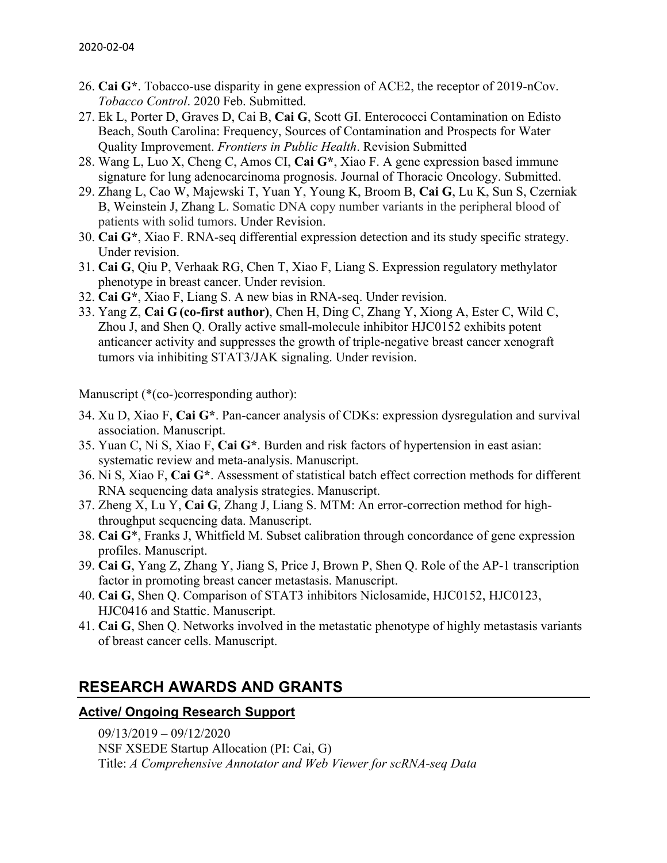- 26. **Cai G\***. Tobacco-use disparity in gene expression of ACE2, the receptor of 2019-nCov. *Tobacco Control*. 2020 Feb. Submitted.
- 27. Ek L, Porter D, Graves D, Cai B, **Cai G**, Scott GI. Enterococci Contamination on Edisto Beach, South Carolina: Frequency, Sources of Contamination and Prospects for Water Quality Improvement. *Frontiers in Public Health*. Revision Submitted
- 28. Wang L, Luo X, Cheng C, Amos CI, **Cai G\***, Xiao F. A gene expression based immune signature for lung adenocarcinoma prognosis. Journal of Thoracic Oncology. Submitted.
- 29. Zhang L, Cao W, Majewski T, Yuan Y, Young K, Broom B, **Cai G**, Lu K, Sun S, Czerniak B, Weinstein J, Zhang L. Somatic DNA copy number variants in the peripheral blood of patients with solid tumors. Under Revision.
- 30. **Cai G\***, Xiao F. RNA-seq differential expression detection and its study specific strategy. Under revision.
- 31. **Cai G**, Qiu P, Verhaak RG, Chen T, Xiao F, Liang S. Expression regulatory methylator phenotype in breast cancer. Under revision.
- 32. **Cai G\***, Xiao F, Liang S. A new bias in RNA-seq. Under revision.
- 33. Yang Z, **Cai G (co-first author)**, Chen H, Ding C, Zhang Y, Xiong A, Ester C, Wild C, Zhou J, and Shen Q. Orally active small-molecule inhibitor HJC0152 exhibits potent anticancer activity and suppresses the growth of triple-negative breast cancer xenograft tumors via inhibiting STAT3/JAK signaling. Under revision.

Manuscript (\*(co-)corresponding author):

- 34. Xu D, Xiao F, **Cai G\***. Pan-cancer analysis of CDKs: expression dysregulation and survival association. Manuscript.
- 35. Yuan C, Ni S, Xiao F, **Cai G\***. Burden and risk factors of hypertension in east asian: systematic review and meta-analysis. Manuscript.
- 36. Ni S, Xiao F, **Cai G\***. Assessment of statistical batch effect correction methods for different RNA sequencing data analysis strategies. Manuscript.
- 37. Zheng X, Lu Y, **Cai G**, Zhang J, Liang S. MTM: An error-correction method for highthroughput sequencing data. Manuscript.
- 38. **Cai G**\*, Franks J, Whitfield M. Subset calibration through concordance of gene expression profiles. Manuscript.
- 39. **Cai G**, Yang Z, Zhang Y, Jiang S, Price J, Brown P, Shen Q. Role of the AP-1 transcription factor in promoting breast cancer metastasis. Manuscript.
- 40. **Cai G**, Shen Q. Comparison of STAT3 inhibitors Niclosamide, HJC0152, HJC0123, HJC0416 and Stattic. Manuscript.
- 41. **Cai G**, Shen Q. Networks involved in the metastatic phenotype of highly metastasis variants of breast cancer cells. Manuscript.

### **RESEARCH AWARDS AND GRANTS**

### **Active/ Ongoing Research Support**

09/13/2019 – 09/12/2020 NSF XSEDE Startup Allocation (PI: Cai, G) Title: *A Comprehensive Annotator and Web Viewer for scRNA-seq Data*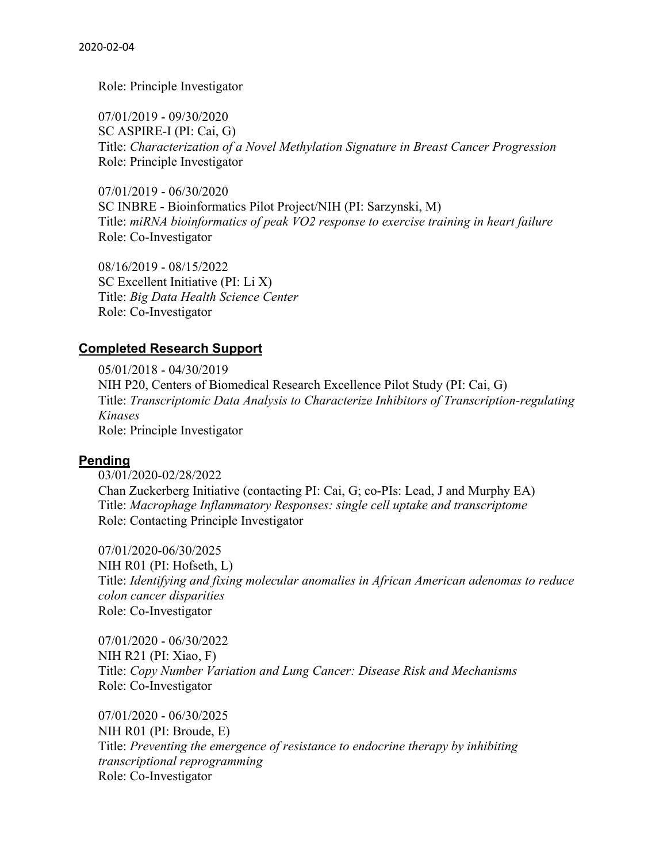Role: Principle Investigator

07/01/2019 - 09/30/2020 SC ASPIRE-I (PI: Cai, G) Title: *Characterization of a Novel Methylation Signature in Breast Cancer Progression* Role: Principle Investigator

07/01/2019 - 06/30/2020 SC INBRE - Bioinformatics Pilot Project/NIH (PI: Sarzynski, M) Title: *miRNA bioinformatics of peak VO2 response to exercise training in heart failure* Role: Co-Investigator

08/16/2019 - 08/15/2022 SC Excellent Initiative (PI: Li X) Title: *Big Data Health Science Center* Role: Co-Investigator

#### **Completed Research Support**

05/01/2018 - 04/30/2019 NIH P20, Centers of Biomedical Research Excellence Pilot Study (PI: Cai, G) Title: *Transcriptomic Data Analysis to Characterize Inhibitors of Transcription-regulating Kinases* Role: Principle Investigator

#### **Pending**

03/01/2020-02/28/2022 Chan Zuckerberg Initiative (contacting PI: Cai, G; co-PIs: Lead, J and Murphy EA) Title: *Macrophage Inflammatory Responses: single cell uptake and transcriptome* Role: Contacting Principle Investigator

07/01/2020-06/30/2025 NIH R01 (PI: Hofseth, L) Title: *Identifying and fixing molecular anomalies in African American adenomas to reduce colon cancer disparities* Role: Co-Investigator

07/01/2020 - 06/30/2022 NIH R21 (PI: Xiao, F) Title: *Copy Number Variation and Lung Cancer: Disease Risk and Mechanisms* Role: Co-Investigator

07/01/2020 - 06/30/2025 NIH R01 (PI: Broude, E) Title: *Preventing the emergence of resistance to endocrine therapy by inhibiting transcriptional reprogramming* Role: Co-Investigator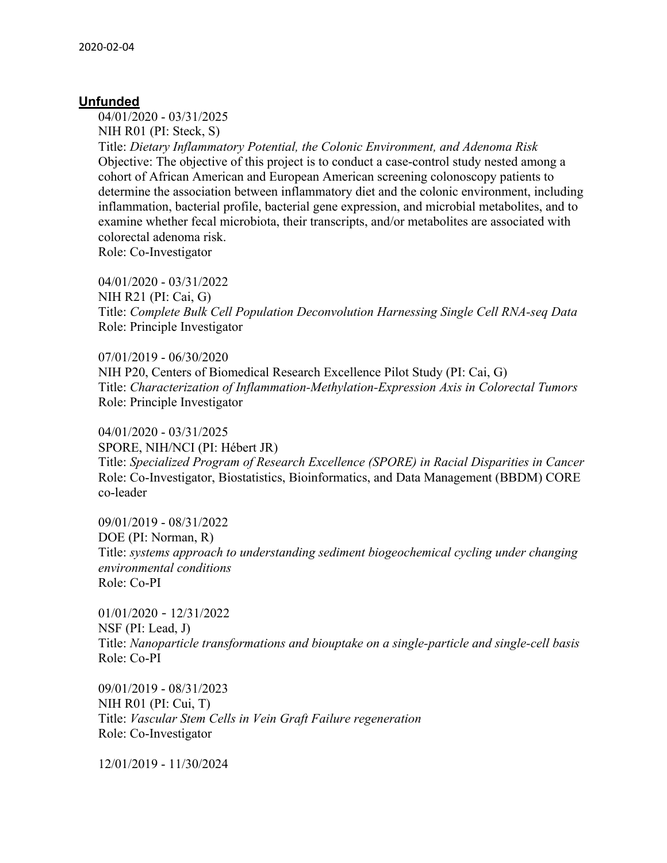#### **Unfunded**

04/01/2020 - 03/31/2025

NIH R01 (PI: Steck, S) Title: *Dietary Inflammatory Potential, the Colonic Environment, and Adenoma Risk* Objective: The objective of this project is to conduct a case-control study nested among a cohort of African American and European American screening colonoscopy patients to determine the association between inflammatory diet and the colonic environment, including inflammation, bacterial profile, bacterial gene expression, and microbial metabolites, and to examine whether fecal microbiota, their transcripts, and/or metabolites are associated with colorectal adenoma risk.

Role: Co-Investigator

04/01/2020 - 03/31/2022 NIH R21 (PI: Cai, G) Title: *Complete Bulk Cell Population Deconvolution Harnessing Single Cell RNA-seq Data* Role: Principle Investigator

07/01/2019 - 06/30/2020 NIH P20, Centers of Biomedical Research Excellence Pilot Study (PI: Cai, G) Title: *Characterization of Inflammation-Methylation-Expression Axis in Colorectal Tumors* Role: Principle Investigator

04/01/2020 - 03/31/2025 SPORE, NIH/NCI (PI: Hébert JR) Title: *Specialized Program of Research Excellence (SPORE) in Racial Disparities in Cancer* Role: Co-Investigator, Biostatistics, Bioinformatics, and Data Management (BBDM) CORE co-leader

09/01/2019 - 08/31/2022 DOE (PI: Norman, R) Title: *systems approach to understanding sediment biogeochemical cycling under changing environmental conditions* Role: Co-PI

01/01/2020 - 12/31/2022 NSF (PI: Lead, J) Title: *Nanoparticle transformations and biouptake on a single-particle and single-cell basis* Role: Co-PI

09/01/2019 - 08/31/2023 NIH R01 (PI: Cui, T) Title: *Vascular Stem Cells in Vein Graft Failure regeneration* Role: Co-Investigator

12/01/2019 - 11/30/2024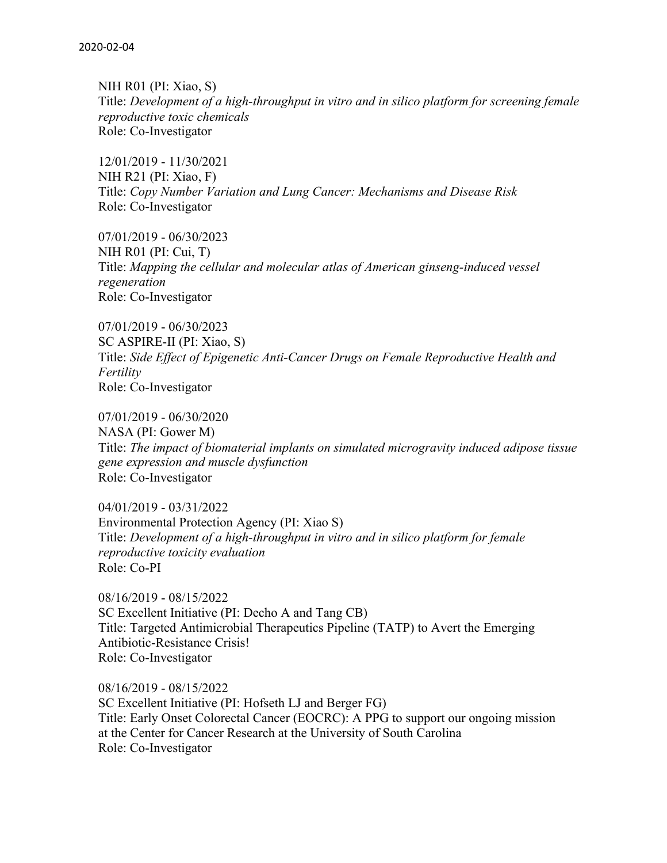NIH R01 (PI: Xiao, S) Title: *Development of a high-throughput in vitro and in silico platform for screening female reproductive toxic chemicals* Role: Co-Investigator

12/01/2019 - 11/30/2021 NIH R21 (PI: Xiao, F) Title: *Copy Number Variation and Lung Cancer: Mechanisms and Disease Risk* Role: Co-Investigator

07/01/2019 - 06/30/2023 NIH R01 (PI: Cui, T) Title: *Mapping the cellular and molecular atlas of American ginseng-induced vessel regeneration* Role: Co-Investigator

07/01/2019 - 06/30/2023 SC ASPIRE-II (PI: Xiao, S) Title: *Side Effect of Epigenetic Anti-Cancer Drugs on Female Reproductive Health and Fertility* Role: Co-Investigator

07/01/2019 - 06/30/2020 NASA (PI: Gower M) Title: *The impact of biomaterial implants on simulated microgravity induced adipose tissue gene expression and muscle dysfunction* Role: Co-Investigator

04/01/2019 - 03/31/2022 Environmental Protection Agency (PI: Xiao S) Title: *Development of a high-throughput in vitro and in silico platform for female reproductive toxicity evaluation* Role: Co-PI

08/16/2019 - 08/15/2022 SC Excellent Initiative (PI: Decho A and Tang CB) Title: Targeted Antimicrobial Therapeutics Pipeline (TATP) to Avert the Emerging Antibiotic-Resistance Crisis! Role: Co-Investigator

08/16/2019 - 08/15/2022 SC Excellent Initiative (PI: Hofseth LJ and Berger FG) Title: Early Onset Colorectal Cancer (EOCRC): A PPG to support our ongoing mission at the Center for Cancer Research at the University of South Carolina Role: Co-Investigator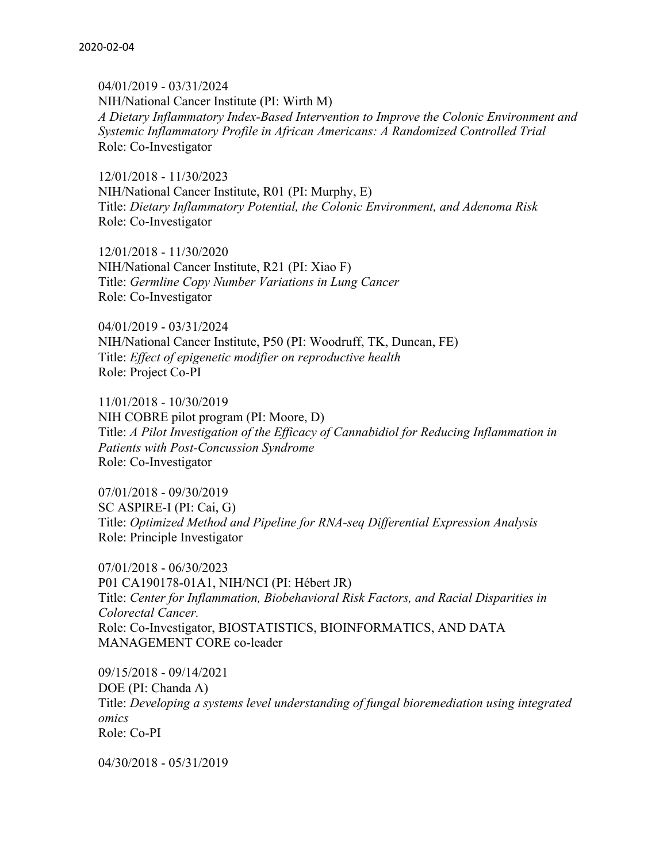04/01/2019 - 03/31/2024 NIH/National Cancer Institute (PI: Wirth M) *A Dietary Inflammatory Index-Based Intervention to Improve the Colonic Environment and Systemic Inflammatory Profile in African Americans: A Randomized Controlled Trial* Role: Co-Investigator

12/01/2018 - 11/30/2023 NIH/National Cancer Institute, R01 (PI: Murphy, E) Title: *Dietary Inflammatory Potential, the Colonic Environment, and Adenoma Risk* Role: Co-Investigator

12/01/2018 - 11/30/2020 NIH/National Cancer Institute, R21 (PI: Xiao F) Title: *Germline Copy Number Variations in Lung Cancer* Role: Co-Investigator

04/01/2019 - 03/31/2024 NIH/National Cancer Institute, P50 (PI: Woodruff, TK, Duncan, FE) Title: *Effect of epigenetic modifier on reproductive health* Role: Project Co-PI

11/01/2018 - 10/30/2019 NIH COBRE pilot program (PI: Moore, D) Title: *A Pilot Investigation of the Efficacy of Cannabidiol for Reducing Inflammation in Patients with Post-Concussion Syndrome* Role: Co-Investigator

07/01/2018 - 09/30/2019 SC ASPIRE-I (PI: Cai, G) Title: *Optimized Method and Pipeline for RNA-seq Differential Expression Analysis* Role: Principle Investigator

07/01/2018 - 06/30/2023 P01 CA190178-01A1, NIH/NCI (PI: Hébert JR) Title: *Center for Inflammation, Biobehavioral Risk Factors, and Racial Disparities in Colorectal Cancer.* Role: Co-Investigator, BIOSTATISTICS, BIOINFORMATICS, AND DATA MANAGEMENT CORE co-leader

09/15/2018 - 09/14/2021 DOE (PI: Chanda A) Title: *Developing a systems level understanding of fungal bioremediation using integrated omics* Role: Co-PI

04/30/2018 - 05/31/2019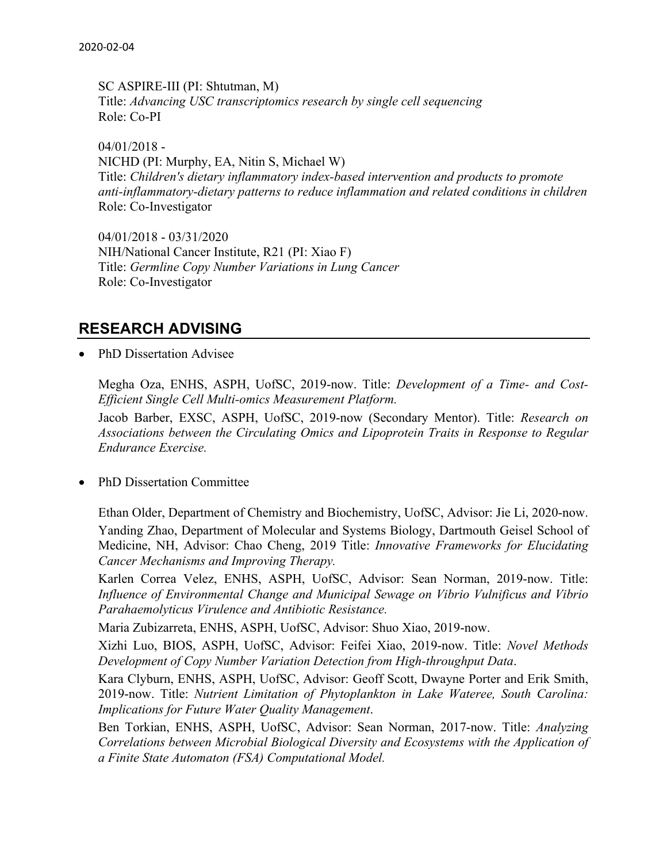SC ASPIRE-III (PI: Shtutman, M) Title: *Advancing USC transcriptomics research by single cell sequencing* Role: Co-PI

 $04/01/2018 -$ NICHD (PI: Murphy, EA, Nitin S, Michael W) Title: *Children's dietary inflammatory index-based intervention and products to promote anti-inflammatory-dietary patterns to reduce inflammation and related conditions in children* Role: Co-Investigator

04/01/2018 - 03/31/2020 NIH/National Cancer Institute, R21 (PI: Xiao F) Title: *Germline Copy Number Variations in Lung Cancer* Role: Co-Investigator

### **RESEARCH ADVISING**

• PhD Dissertation Advisee

Megha Oza, ENHS, ASPH, UofSC, 2019-now. Title: *Development of a Time- and Cost-Efficient Single Cell Multi-omics Measurement Platform.*

Jacob Barber, EXSC, ASPH, UofSC, 2019-now (Secondary Mentor). Title: *Research on Associations between the Circulating Omics and Lipoprotein Traits in Response to Regular Endurance Exercise.*

• PhD Dissertation Committee

Ethan Older, Department of Chemistry and Biochemistry, UofSC, Advisor: Jie Li, 2020-now. Yanding Zhao, Department of Molecular and Systems Biology, Dartmouth Geisel School of Medicine, NH, Advisor: Chao Cheng, 2019 Title: *Innovative Frameworks for Elucidating Cancer Mechanisms and Improving Therapy.*

Karlen Correa Velez, ENHS, ASPH, UofSC, Advisor: Sean Norman, 2019-now. Title: *Influence of Environmental Change and Municipal Sewage on Vibrio Vulnificus and Vibrio Parahaemolyticus Virulence and Antibiotic Resistance.*

Maria Zubizarreta, ENHS, ASPH, UofSC, Advisor: Shuo Xiao, 2019-now.

Xizhi Luo, BIOS, ASPH, UofSC, Advisor: Feifei Xiao, 2019-now. Title: *Novel Methods Development of Copy Number Variation Detection from High-throughput Data*.

Kara Clyburn, ENHS, ASPH, UofSC, Advisor: Geoff Scott, Dwayne Porter and Erik Smith, 2019-now. Title: *Nutrient Limitation of Phytoplankton in Lake Wateree, South Carolina: Implications for Future Water Quality Management*.

Ben Torkian, ENHS, ASPH, UofSC, Advisor: Sean Norman, 2017-now. Title: *Analyzing Correlations between Microbial Biological Diversity and Ecosystems with the Application of a Finite State Automaton (FSA) Computational Model.*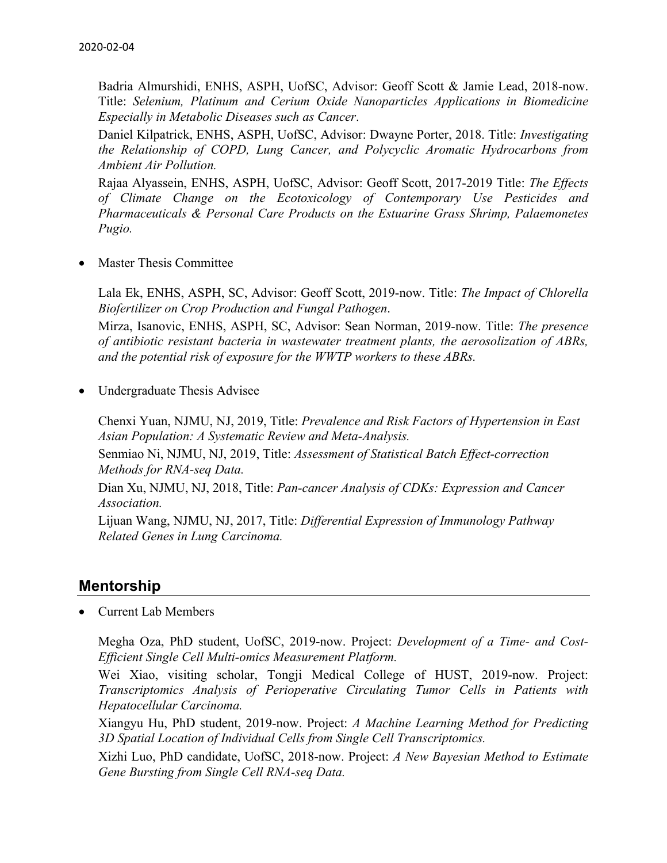Badria Almurshidi, ENHS, ASPH, UofSC, Advisor: Geoff Scott & Jamie Lead, 2018-now. Title: *Selenium, Platinum and Cerium Oxide Nanoparticles Applications in Biomedicine Especially in Metabolic Diseases such as Cancer*.

Daniel Kilpatrick, ENHS, ASPH, UofSC, Advisor: Dwayne Porter, 2018. Title: *Investigating the Relationship of COPD, Lung Cancer, and Polycyclic Aromatic Hydrocarbons from Ambient Air Pollution.*

Rajaa Alyassein, ENHS, ASPH, UofSC, Advisor: Geoff Scott, 2017-2019 Title: *The Effects of Climate Change on the Ecotoxicology of Contemporary Use Pesticides and Pharmaceuticals & Personal Care Products on the Estuarine Grass Shrimp, Palaemonetes Pugio.*

• Master Thesis Committee

Lala Ek, ENHS, ASPH, SC, Advisor: Geoff Scott, 2019-now. Title: *The Impact of Chlorella Biofertilizer on Crop Production and Fungal Pathogen*.

Mirza, Isanovic, ENHS, ASPH, SC, Advisor: Sean Norman, 2019-now. Title: *The presence of antibiotic resistant bacteria in wastewater treatment plants, the aerosolization of ABRs, and the potential risk of exposure for the WWTP workers to these ABRs.*

• Undergraduate Thesis Advisee

Chenxi Yuan, NJMU, NJ, 2019, Title: *Prevalence and Risk Factors of Hypertension in East Asian Population: A Systematic Review and Meta-Analysis.*

Senmiao Ni, NJMU, NJ, 2019, Title: *Assessment of Statistical Batch Effect-correction Methods for RNA-seq Data.*

Dian Xu, NJMU, NJ, 2018, Title: *Pan-cancer Analysis of CDKs: Expression and Cancer Association.*

Lijuan Wang, NJMU, NJ, 2017, Title: *Differential Expression of Immunology Pathway Related Genes in Lung Carcinoma.*

### **Mentorship**

• Current Lab Members

Megha Oza, PhD student, UofSC, 2019-now. Project: *Development of a Time- and Cost-Efficient Single Cell Multi-omics Measurement Platform.*

Wei Xiao, visiting scholar, Tongji Medical College of HUST, 2019-now. Project: *Transcriptomics Analysis of Perioperative Circulating Tumor Cells in Patients with Hepatocellular Carcinoma.*

Xiangyu Hu, PhD student, 2019-now. Project: *A Machine Learning Method for Predicting 3D Spatial Location of Individual Cells from Single Cell Transcriptomics.*

Xizhi Luo, PhD candidate, UofSC, 2018-now. Project: *A New Bayesian Method to Estimate Gene Bursting from Single Cell RNA-seq Data.*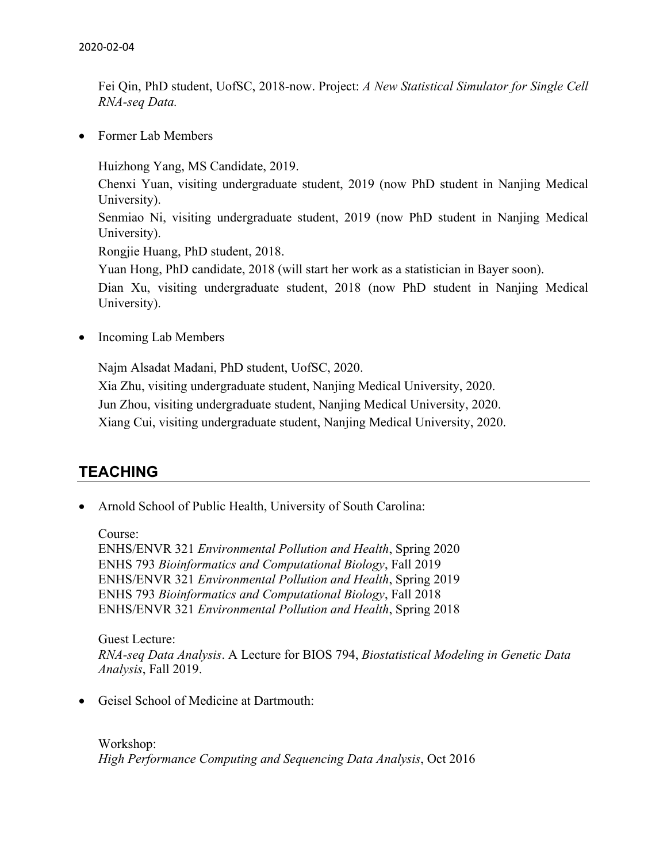Fei Qin, PhD student, UofSC, 2018-now. Project: *A New Statistical Simulator for Single Cell RNA-seq Data.*

• Former Lab Members

Huizhong Yang, MS Candidate, 2019.

Chenxi Yuan, visiting undergraduate student, 2019 (now PhD student in Nanjing Medical University).

Senmiao Ni, visiting undergraduate student, 2019 (now PhD student in Nanjing Medical University).

Rongjie Huang, PhD student, 2018.

Yuan Hong, PhD candidate, 2018 (will start her work as a statistician in Bayer soon).

Dian Xu, visiting undergraduate student, 2018 (now PhD student in Nanjing Medical University).

• Incoming Lab Members

Najm Alsadat Madani, PhD student, UofSC, 2020.

Xia Zhu, visiting undergraduate student, Nanjing Medical University, 2020.

Jun Zhou, visiting undergraduate student, Nanjing Medical University, 2020.

Xiang Cui, visiting undergraduate student, Nanjing Medical University, 2020.

### **TEACHING**

• Arnold School of Public Health, University of South Carolina:

Course:

ENHS/ENVR 321 *Environmental Pollution and Health*, Spring 2020 ENHS 793 *Bioinformatics and Computational Biology*, Fall 2019 ENHS/ENVR 321 *Environmental Pollution and Health*, Spring 2019 ENHS 793 *Bioinformatics and Computational Biology*, Fall 2018 ENHS/ENVR 321 *Environmental Pollution and Health*, Spring 2018

Guest Lecture: *RNA-seq Data Analysis*. A Lecture for BIOS 794, *Biostatistical Modeling in Genetic Data Analysis*, Fall 2019.

• Geisel School of Medicine at Dartmouth:

Workshop: *High Performance Computing and Sequencing Data Analysis*, Oct 2016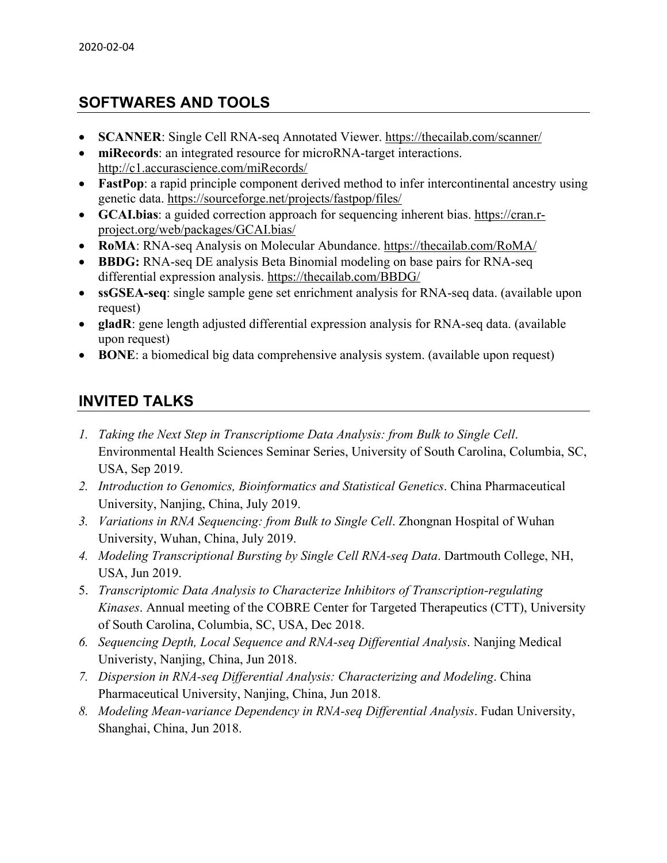### **SOFTWARES AND TOOLS**

- **SCANNER**: Single Cell RNA-seq Annotated Viewer. https://thecailab.com/scanner/
- **miRecords**: an integrated resource for microRNA-target interactions. http://c1.accurascience.com/miRecords/
- **FastPop**: a rapid principle component derived method to infer intercontinental ancestry using genetic data. https://sourceforge.net/projects/fastpop/files/
- **GCAI.bias**: a guided correction approach for sequencing inherent bias. https://cran.rproject.org/web/packages/GCAI.bias/
- **RoMA**: RNA-seq Analysis on Molecular Abundance. https://thecailab.com/RoMA/
- **BBDG:** RNA-seq DE analysis Beta Binomial modeling on base pairs for RNA-seq differential expression analysis. https://thecailab.com/BBDG/
- **ssGSEA-seq**: single sample gene set enrichment analysis for RNA-seq data. (available upon request)
- **gladR**: gene length adjusted differential expression analysis for RNA-seq data. (available upon request)
- **BONE**: a biomedical big data comprehensive analysis system. (available upon request)

## **INVITED TALKS**

- *1. Taking the Next Step in Transcriptiome Data Analysis: from Bulk to Single Cell*. Environmental Health Sciences Seminar Series, University of South Carolina, Columbia, SC, USA, Sep 2019.
- *2. Introduction to Genomics, Bioinformatics and Statistical Genetics*. China Pharmaceutical University, Nanjing, China, July 2019.
- *3. Variations in RNA Sequencing: from Bulk to Single Cell*. Zhongnan Hospital of Wuhan University, Wuhan, China, July 2019.
- *4. Modeling Transcriptional Bursting by Single Cell RNA-seq Data*. Dartmouth College, NH, USA, Jun 2019.
- 5. *Transcriptomic Data Analysis to Characterize Inhibitors of Transcription-regulating Kinases*. Annual meeting of the COBRE Center for Targeted Therapeutics (CTT), University of South Carolina, Columbia, SC, USA, Dec 2018.
- *6. Sequencing Depth, Local Sequence and RNA-seq Differential Analysis*. Nanjing Medical Univeristy, Nanjing, China, Jun 2018.
- *7. Dispersion in RNA-seq Differential Analysis: Characterizing and Modeling*. China Pharmaceutical University, Nanjing, China, Jun 2018.
- *8. Modeling Mean-variance Dependency in RNA-seq Differential Analysis*. Fudan University, Shanghai, China, Jun 2018.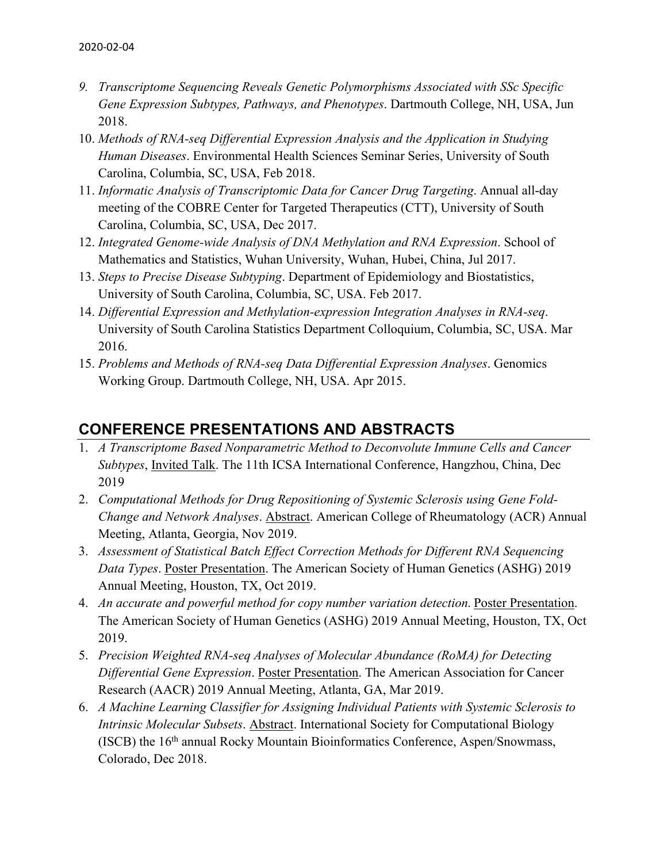- *9. Transcriptome Sequencing Reveals Genetic Polymorphisms Associated with SSc Specific Gene Expression Subtypes, Pathways, and Phenotypes*. Dartmouth College, NH, USA, Jun 2018.
- 10. *Methods of RNA-seq Differential Expression Analysis and the Application in Studying Human Diseases*. Environmental Health Sciences Seminar Series, University of South Carolina, Columbia, SC, USA, Feb 2018.
- 11. *Informatic Analysis of Transcriptomic Data for Cancer Drug Targeting*. Annual all-day meeting of the COBRE Center for Targeted Therapeutics (CTT), University of South Carolina, Columbia, SC, USA, Dec 2017.
- 12. *Integrated Genome-wide Analysis of DNA Methylation and RNA Expression*. School of Mathematics and Statistics, Wuhan University, Wuhan, Hubei, China, Jul 2017.
- 13. *Steps to Precise Disease Subtyping*. Department of Epidemiology and Biostatistics, University of South Carolina, Columbia, SC, USA. Feb 2017.
- 14. *Differential Expression and Methylation-expression Integration Analyses in RNA-seq*. University of South Carolina Statistics Department Colloquium, Columbia, SC, USA. Mar 2016.
- 15. *Problems and Methods of RNA-seq Data Differential Expression Analyses*. Genomics Working Group. Dartmouth College, NH, USA. Apr 2015.

### **CONFERENCE PRESENTATIONS AND ABSTRACTS**

- 1. *A Transcriptome Based Nonparametric Method to Deconvolute Immune Cells and Cancer Subtypes*, Invited Talk. The 11th ICSA International Conference, Hangzhou, China, Dec 2019
- 2. *Computational Methods for Drug Repositioning of Systemic Sclerosis using Gene Fold-Change and Network Analyses*. Abstract. American College of Rheumatology (ACR) Annual Meeting, Atlanta, Georgia, Nov 2019.
- 3. *Assessment of Statistical Batch Effect Correction Methods for Different RNA Sequencing Data Types*. Poster Presentation. The American Society of Human Genetics (ASHG) 2019 Annual Meeting, Houston, TX, Oct 2019.
- 4. *An accurate and powerful method for copy number variation detection.* Poster Presentation. The American Society of Human Genetics (ASHG) 2019 Annual Meeting, Houston, TX, Oct 2019.
- 5. *Precision Weighted RNA-seq Analyses of Molecular Abundance (RoMA) for Detecting Differential Gene Expression*. Poster Presentation. The American Association for Cancer Research (AACR) 2019 Annual Meeting, Atlanta, GA, Mar 2019.
- 6. *A Machine Learning Classifier for Assigning Individual Patients with Systemic Sclerosis to Intrinsic Molecular Subsets*. Abstract. International Society for Computational Biology (ISCB) the  $16<sup>th</sup>$  annual Rocky Mountain Bioinformatics Conference, Aspen/Snowmass, Colorado, Dec 2018.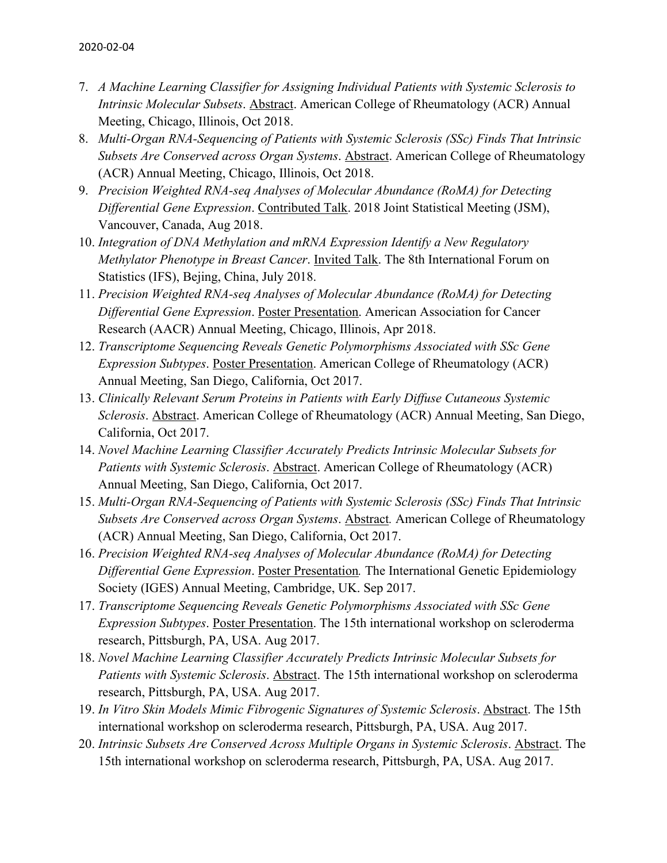- 7. *A Machine Learning Classifier for Assigning Individual Patients with Systemic Sclerosis to Intrinsic Molecular Subsets*. Abstract. American College of Rheumatology (ACR) Annual Meeting, Chicago, Illinois, Oct 2018.
- 8. *Multi-Organ RNA-Sequencing of Patients with Systemic Sclerosis (SSc) Finds That Intrinsic Subsets Are Conserved across Organ Systems*. Abstract. American College of Rheumatology (ACR) Annual Meeting, Chicago, Illinois, Oct 2018.
- 9. *Precision Weighted RNA-seq Analyses of Molecular Abundance (RoMA) for Detecting Differential Gene Expression*. Contributed Talk. 2018 Joint Statistical Meeting (JSM), Vancouver, Canada, Aug 2018.
- 10. *Integration of DNA Methylation and mRNA Expression Identify a New Regulatory Methylator Phenotype in Breast Cancer*. Invited Talk. The 8th International Forum on Statistics (IFS), Bejing, China, July 2018.
- 11. *Precision Weighted RNA-seq Analyses of Molecular Abundance (RoMA) for Detecting Differential Gene Expression*. Poster Presentation. American Association for Cancer Research (AACR) Annual Meeting, Chicago, Illinois, Apr 2018.
- 12. *Transcriptome Sequencing Reveals Genetic Polymorphisms Associated with SSc Gene Expression Subtypes*. Poster Presentation. American College of Rheumatology (ACR) Annual Meeting, San Diego, California, Oct 2017.
- 13. *Clinically Relevant Serum Proteins in Patients with Early Diffuse Cutaneous Systemic Sclerosis*. Abstract. American College of Rheumatology (ACR) Annual Meeting, San Diego, California, Oct 2017.
- 14. *Novel Machine Learning Classifier Accurately Predicts Intrinsic Molecular Subsets for Patients with Systemic Sclerosis*. Abstract. American College of Rheumatology (ACR) Annual Meeting, San Diego, California, Oct 2017.
- 15. *Multi-Organ RNA-Sequencing of Patients with Systemic Sclerosis (SSc) Finds That Intrinsic Subsets Are Conserved across Organ Systems*. Abstract*.* American College of Rheumatology (ACR) Annual Meeting, San Diego, California, Oct 2017.
- 16. *Precision Weighted RNA-seq Analyses of Molecular Abundance (RoMA) for Detecting Differential Gene Expression*. Poster Presentation*.* The International Genetic Epidemiology Society (IGES) Annual Meeting, Cambridge, UK. Sep 2017.
- 17. *Transcriptome Sequencing Reveals Genetic Polymorphisms Associated with SSc Gene Expression Subtypes*. Poster Presentation. The 15th international workshop on scleroderma research, Pittsburgh, PA, USA. Aug 2017.
- 18. *Novel Machine Learning Classifier Accurately Predicts Intrinsic Molecular Subsets for Patients with Systemic Sclerosis*. Abstract. The 15th international workshop on scleroderma research, Pittsburgh, PA, USA. Aug 2017.
- 19. *In Vitro Skin Models Mimic Fibrogenic Signatures of Systemic Sclerosis*. Abstract. The 15th international workshop on scleroderma research, Pittsburgh, PA, USA. Aug 2017.
- 20. *Intrinsic Subsets Are Conserved Across Multiple Organs in Systemic Sclerosis*. Abstract. The 15th international workshop on scleroderma research, Pittsburgh, PA, USA. Aug 2017.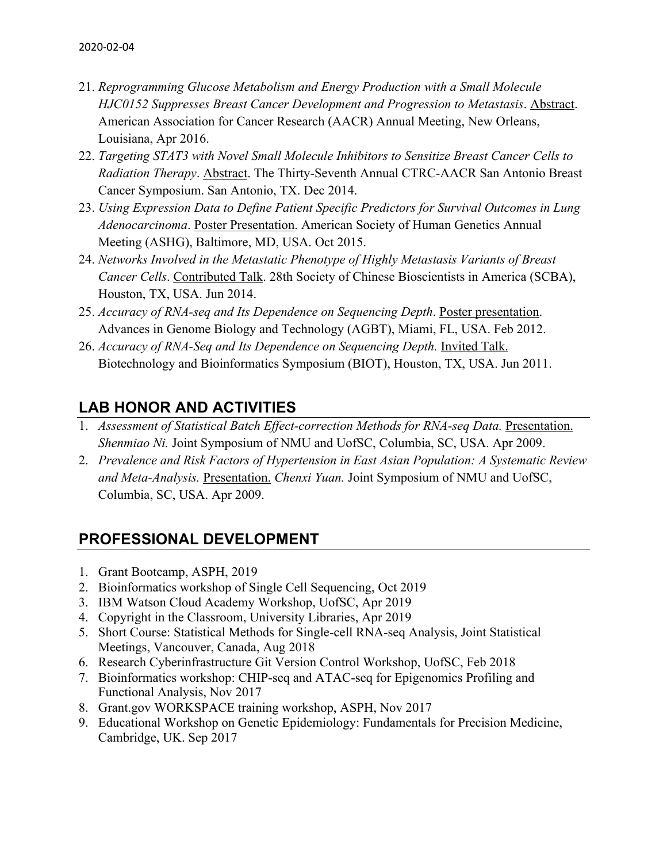- 21. *Reprogramming Glucose Metabolism and Energy Production with a Small Molecule HJC0152 Suppresses Breast Cancer Development and Progression to Metastasis*. Abstract. American Association for Cancer Research (AACR) Annual Meeting, New Orleans, Louisiana, Apr 2016.
- 22. *Targeting STAT3 with Novel Small Molecule Inhibitors to Sensitize Breast Cancer Cells to Radiation Therapy*. Abstract. The Thirty-Seventh Annual CTRC-AACR San Antonio Breast Cancer Symposium. San Antonio, TX. Dec 2014.
- 23. *Using Expression Data to Define Patient Specific Predictors for Survival Outcomes in Lung Adenocarcinoma*. Poster Presentation. American Society of Human Genetics Annual Meeting (ASHG), Baltimore, MD, USA. Oct 2015.
- 24. *Networks Involved in the Metastatic Phenotype of Highly Metastasis Variants of Breast Cancer Cells*. Contributed Talk. 28th Society of Chinese Bioscientists in America (SCBA), Houston, TX, USA. Jun 2014.
- 25. *Accuracy of RNA-seq and Its Dependence on Sequencing Depth*. Poster presentation. Advances in Genome Biology and Technology (AGBT), Miami, FL, USA. Feb 2012.
- 26. *Accuracy of RNA-Seq and Its Dependence on Sequencing Depth.* Invited Talk. Biotechnology and Bioinformatics Symposium (BIOT), Houston, TX, USA. Jun 2011.

## **LAB HONOR AND ACTIVITIES**

- 1. *Assessment of Statistical Batch Effect-correction Methods for RNA-seq Data.* Presentation. *Shenmiao Ni.* Joint Symposium of NMU and UofSC, Columbia, SC, USA. Apr 2009.
- 2. *Prevalence and Risk Factors of Hypertension in East Asian Population: A Systematic Review and Meta-Analysis.* Presentation. *Chenxi Yuan.* Joint Symposium of NMU and UofSC, Columbia, SC, USA. Apr 2009.

### **PROFESSIONAL DEVELOPMENT**

- 1. Grant Bootcamp, ASPH, 2019
- 2. Bioinformatics workshop of Single Cell Sequencing, Oct 2019
- 3. IBM Watson Cloud Academy Workshop, UofSC, Apr 2019
- 4. Copyright in the Classroom, University Libraries, Apr 2019
- 5. Short Course: Statistical Methods for Single-cell RNA-seq Analysis, Joint Statistical Meetings, Vancouver, Canada, Aug 2018
- 6. Research Cyberinfrastructure Git Version Control Workshop, UofSC, Feb 2018
- 7. Bioinformatics workshop: CHIP-seq and ATAC-seq for Epigenomics Profiling and Functional Analysis, Nov 2017
- 8. Grant.gov WORKSPACE training workshop, ASPH, Nov 2017
- 9. Educational Workshop on Genetic Epidemiology: Fundamentals for Precision Medicine, Cambridge, UK. Sep 2017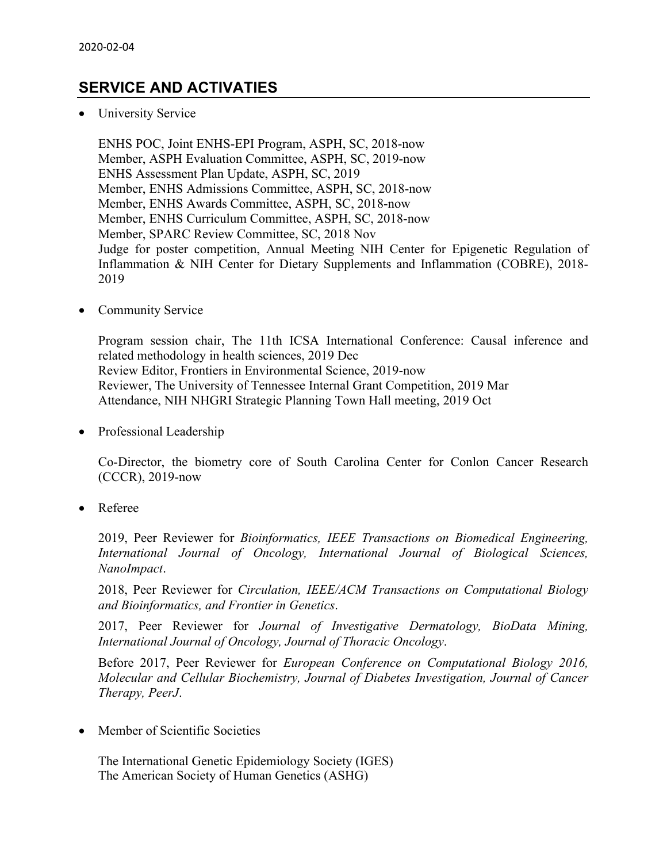### **SERVICE AND ACTIVATIES**

• University Service

ENHS POC, Joint ENHS-EPI Program, ASPH, SC, 2018-now Member, ASPH Evaluation Committee, ASPH, SC, 2019-now ENHS Assessment Plan Update, ASPH, SC, 2019 Member, ENHS Admissions Committee, ASPH, SC, 2018-now Member, ENHS Awards Committee, ASPH, SC, 2018-now Member, ENHS Curriculum Committee, ASPH, SC, 2018-now Member, SPARC Review Committee, SC, 2018 Nov Judge for poster competition, Annual Meeting NIH Center for Epigenetic Regulation of Inflammation & NIH Center for Dietary Supplements and Inflammation (COBRE), 2018- 2019

• Community Service

Program session chair, The 11th ICSA International Conference: Causal inference and related methodology in health sciences, 2019 Dec Review Editor, Frontiers in Environmental Science, 2019-now Reviewer, The University of Tennessee Internal Grant Competition, 2019 Mar Attendance, NIH NHGRI Strategic Planning Town Hall meeting, 2019 Oct

• Professional Leadership

Co-Director, the biometry core of South Carolina Center for Conlon Cancer Research (CCCR), 2019-now

• Referee

2019, Peer Reviewer for *Bioinformatics, IEEE Transactions on Biomedical Engineering, International Journal of Oncology, International Journal of Biological Sciences, NanoImpact*.

2018, Peer Reviewer for *Circulation, IEEE/ACM Transactions on Computational Biology and Bioinformatics, and Frontier in Genetics*.

2017, Peer Reviewer for *Journal of Investigative Dermatology, BioData Mining, International Journal of Oncology, Journal of Thoracic Oncology*.

Before 2017, Peer Reviewer for *European Conference on Computational Biology 2016, Molecular and Cellular Biochemistry, Journal of Diabetes Investigation, Journal of Cancer Therapy, PeerJ*.

• Member of Scientific Societies

The International Genetic Epidemiology Society (IGES) The American Society of Human Genetics (ASHG)